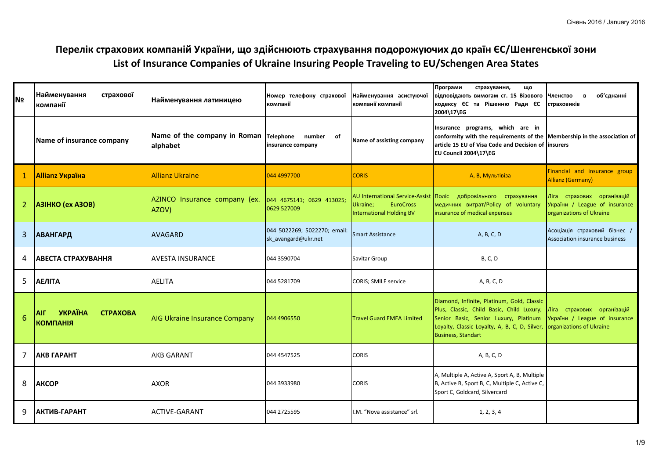## **Перелік страхових компаній України, що здійснюють страхування подорожуючих до країн ЄС/Шенгенської зони List of Insurance Companies of Ukraine Insuring People Traveling to EU/Schengen Area States**

| <b>N</b> o | Найменування<br>страхової<br>компанії                              | Найменування латиницею                             | Номер телефону страхової<br>компанії                | Найменування асистуючої<br>компанії компанії                                                              | Програми<br>страхування,<br>Щ٥<br>відповідають вимогам ст. 15 Візового<br>кодексу ЄС та Рішенню Ради ЄС<br>2004\17\EG                                                                                          | об'єднанні<br>Членство<br>$\mathbf{B}$<br>страховиків                                   |
|------------|--------------------------------------------------------------------|----------------------------------------------------|-----------------------------------------------------|-----------------------------------------------------------------------------------------------------------|----------------------------------------------------------------------------------------------------------------------------------------------------------------------------------------------------------------|-----------------------------------------------------------------------------------------|
|            | Name of insurance company                                          | Name of the company in Roman Telephone<br>alphabet | number of<br>insurance company                      | Name of assisting company                                                                                 | Insurance programs, which are in<br>conformity with the requirements of the Membership in the association of<br>article 15 EU of Visa Code and Decision of linsurers<br>EU Council 2004\17\EG                  |                                                                                         |
|            | <b>Allianz Україна</b>                                             | <b>Allianz Ukraine</b>                             | 044 4997700                                         | <b>CORIS</b>                                                                                              | А, В, Мультівіза                                                                                                                                                                                               | Financial and insurance group<br><b>Allianz (Germany)</b>                               |
| 2          | <b>A3IHKO (ex A3OB)</b>                                            | AZINCO Insurance company (ex.<br>AZOV)             | 044 4675141; 0629 413025;<br>0629 527009            | <b>AU International Service-Assist</b><br><b>EuroCross</b><br>Ukraine;<br><b>International Holding BV</b> | Поліс добровільного страхування<br>медичних витрат/Policy of voluntary<br>insurance of medical expenses                                                                                                        | Ліга страхових організацій<br>України / League of insurance<br>organizations of Ukraine |
| 3          | <b>АВАНГАРД</b>                                                    | <b>AVAGARD</b>                                     | 044 5022269; 5022270; email:<br>sk_avangard@ukr.net | <b>Smart Assistance</b>                                                                                   | A, B, C, D                                                                                                                                                                                                     | Асоціація страховий бізнес /<br>Association insurance business                          |
| 4          | АВЕСТА СТРАХУВАННЯ                                                 | <b>AVESTA INSURANCE</b>                            | 044 3590704                                         | Savitar Group                                                                                             | <b>B, C, D</b>                                                                                                                                                                                                 |                                                                                         |
| 5          | <b>АЕЛІТА</b>                                                      | <b>AELITA</b>                                      | 044 5281709                                         | <b>CORIS; SMILE service</b>                                                                               | A, B, C, D                                                                                                                                                                                                     |                                                                                         |
| 6          | <b>YKPAÏHA</b><br><b>CTPAXOBA</b><br><b>AIF</b><br><b>КОМПАНІЯ</b> | <b>AIG Ukraine Insurance Company</b>               | 044 4906550                                         | <b>Travel Guard EMEA Limited</b>                                                                          | Diamond, Infinite, Platinum, Gold, Classic<br>Plus, Classic, Child Basic, Child Luxury,<br>Senior Basic, Senior Luxury, Platinum<br>Loyalty, Classic Loyalty, A, B, C, D, Silver,<br><b>Business, Standart</b> | Ліга страхових організацій<br>України / League of insurance<br>organizations of Ukraine |
| 7          | <b>АКВ ГАРАНТ</b>                                                  | <b>AKB GARANT</b>                                  | 044 4547525                                         | <b>CORIS</b>                                                                                              | A, B, C, D                                                                                                                                                                                                     |                                                                                         |
| 8          | <b>AKCOP</b>                                                       | <b>AXOR</b>                                        | 044 3933980                                         | <b>CORIS</b>                                                                                              | A, Multiple A, Active A, Sport A, B, Multiple<br>B, Active B, Sport B, C, Multiple C, Active C,<br>Sport C, Goldcard, Silvercard                                                                               |                                                                                         |
| 9          | АКТИВ-ГАРАНТ                                                       | <b>ACTIVE-GARANT</b>                               | 044 2725595                                         | I.M. "Nova assistance" srl.                                                                               | 1, 2, 3, 4                                                                                                                                                                                                     |                                                                                         |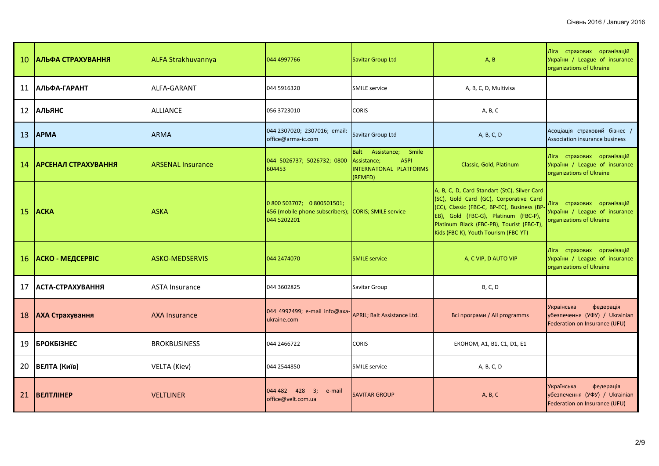| <sup>10</sup> | <b>АЛЬФА СТРАХУВАННЯ</b>    | <b>ALFA Strakhuvannya</b> | 044 4997766                                                                  | Savitar Group Ltd                                                                         | A, B                                                                                                                                                                                                                                                               | Ліга страхових організацій<br>України / League of insurance<br>organizations of Ukraine   |
|---------------|-----------------------------|---------------------------|------------------------------------------------------------------------------|-------------------------------------------------------------------------------------------|--------------------------------------------------------------------------------------------------------------------------------------------------------------------------------------------------------------------------------------------------------------------|-------------------------------------------------------------------------------------------|
| 11            | ІАЛЬФА-ГАРАНТ               | ALFA-GARANT               | 044 5916320                                                                  | <b>SMILE service</b>                                                                      | A, B, C, D, Multivisa                                                                                                                                                                                                                                              |                                                                                           |
| 12            | <b>АЛЬЯНС</b>               | <b>ALLIANCE</b>           | 056 3723010                                                                  | <b>CORIS</b>                                                                              | A, B, C                                                                                                                                                                                                                                                            |                                                                                           |
| 13            | <b>APMA</b>                 | <b>ARMA</b>               | 044 2307020; 2307016; email:<br>office@arma-ic.com                           | Savitar Group Ltd                                                                         | A, B, C, D                                                                                                                                                                                                                                                         | Асоціація страховий бізнес /<br>Association insurance business                            |
| 14            | <b> АРСЕНАЛ СТРАХУВАННЯ</b> | <b>ARSENAL Insurance</b>  | 044 5026737; 5026732; 0800<br>604453                                         | Balt Assistance; Smile<br>Assistance;<br><b>ASPI</b><br>INTERNATONAL PLATFORMS<br>(REMED) | Classic, Gold, Platinum                                                                                                                                                                                                                                            | Ліга страхових організацій<br>України / League of insurance<br>organizations of Ukraine   |
| 15            | <b>ACKA</b>                 | <b>ASKA</b>               | 0 800 503707; 0 800501501;<br>456 (mobile phone subscribers);<br>044 5202201 | <b>CORIS</b> ; SMILE service                                                              | A, B, C, D, Card Standart (StC), Silver Card<br>(SC), Gold Card (GC), Corporative Card<br>(CC), Classic (FBC-C, BP-EC), Business (BP-<br>EB), Gold (FBC-G), Platinum (FBC-P),<br>Platinum Black (FBC-PB), Tourist (FBC-T),<br>Kids (FBC-K), Youth Tourism (FBC-YT) | Ліга страхових організацій<br>України / League of insurance<br>organizations of Ukraine   |
| 16            | <b>АСКО - МЕДСЕРВІС</b>     | <b>ASKO-MEDSERVIS</b>     | 044 2474070                                                                  | <b>SMILE service</b>                                                                      | A, C VIP, D AUTO VIP                                                                                                                                                                                                                                               | Ліга страхових організацій<br>України / League of insurance<br>organizations of Ukraine   |
| 17            | АСТА-СТРАХУВАННЯ            | ASTA Insurance            | 044 3602825                                                                  | Savitar Group                                                                             | <b>B, C, D</b>                                                                                                                                                                                                                                                     |                                                                                           |
| 18            | АХА Страхування             | AXA Insurance             | 044 4992499; e-mail info@axa-<br>ukraine.com                                 | <b>APRIL; Balt Assistance Ltd.</b>                                                        | Всі програми / All programms                                                                                                                                                                                                                                       | Українська<br>федерація<br>убезпечення (УФУ) / Ukrainian<br>Federation on Insurance (UFU) |
| 19            | <b>БРОКБІЗНЕС</b>           | <b>BROKBUSINESS</b>       | 044 2466722                                                                  | <b>CORIS</b>                                                                              | EKOHOM, A1, B1, C1, D1, E1                                                                                                                                                                                                                                         |                                                                                           |
| 20            | ВЕЛТА (Київ)                | <b>VELTA (Kiev)</b>       | 044 2544850                                                                  | <b>SMILE service</b>                                                                      | A, B, C, D                                                                                                                                                                                                                                                         |                                                                                           |
| 21            | <b>ВЕЛТЛІНЕР</b>            | <b>VELTLINER</b>          | 044 482 428 3;<br>e-mail<br>office@velt.com.ua                               | <b>SAVITAR GROUP</b>                                                                      | A, B, C                                                                                                                                                                                                                                                            | Українська<br>федерація<br>убезпечення (УФУ) / Ukrainian<br>Federation on Insurance (UFU) |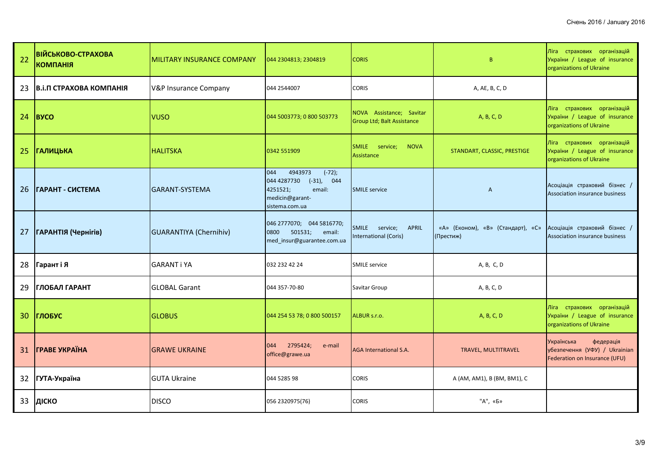| 22              | <b>ВІЙСЬКОВО-СТРАХОВА</b><br><b>KOMNAHIA</b> | MILITARY INSURANCE COMPANY       | 044 2304813; 2304819                                                                                                  | <b>CORIS</b>                                               | B                                              | Ліга страхових організацій<br>України / League of insurance<br>organizations of Ukraine   |
|-----------------|----------------------------------------------|----------------------------------|-----------------------------------------------------------------------------------------------------------------------|------------------------------------------------------------|------------------------------------------------|-------------------------------------------------------------------------------------------|
| 23              | ІВ.і.П СТРАХОВА КОМПАНІЯ                     | <b>V&amp;P Insurance Company</b> | 044 2544007                                                                                                           | <b>CORIS</b>                                               | A, AE, B, C, D                                 |                                                                                           |
| 24              | <b>B</b> yco                                 | <b>VUSO</b>                      | 044 5003773; 0 800 503773                                                                                             | NOVA Assistance; Savitar<br>Group Ltd; Balt Assistance     | A, B, C, D                                     | Ліга страхових організацій<br>України / League of insurance<br>organizations of Ukraine   |
| 25              | <b>ГАЛИЦЬКА</b>                              | <b>HALITSKA</b>                  | 0342 551909                                                                                                           | SMILE service;<br><b>NOVA</b><br>Assistance                | STANDART, CLASSIC, PRESTIGE                    | Ліга страхових організацій<br>України / League of insurance<br>organizations of Ukraine   |
| 26              | ІГАРАНТ - СИСТЕМА                            | GARANT-SYSTEMA                   | 4943973<br>$(-72);$<br>044<br>044 4287730<br>$(-31)$ , 044<br>email:<br>4251521;<br>medicin@garant-<br>sistema.com.ua | <b>SMILE service</b>                                       | $\mathsf{A}$                                   | Асоціація страховий бізнес /<br>Association insurance business                            |
| 27              | <b>ГАРАНТІЯ (Чернігів)</b>                   | <b>GUARANTIYA (Chernihiv)</b>    | 046 2777070; 044 5816770;<br>501531;<br>0800<br>email:<br>med_insur@guarantee.com.ua                                  | <b>SMILE</b><br>service;<br>APRIL<br>International (Coris) | «А» (Економ), «В» (Стандарт), «С»<br>(Престиж) | Асоціація страховий бізнес /<br>Association insurance business                            |
| 28              | Гарант і Я                                   | <b>GARANT i YA</b>               | 032 232 42 24                                                                                                         | <b>SMILE service</b>                                       | A, B, C, D                                     |                                                                                           |
| 29              | <b>ГЛОБАЛ ГАРАНТ</b>                         | <b>GLOBAL Garant</b>             | 044 357-70-80                                                                                                         | Savitar Group                                              | A, B, C, D                                     |                                                                                           |
| 30 <sup>°</sup> | <b>ГЛОБУС</b>                                | <b>GLOBUS</b>                    | 044 254 53 78; 0 800 500157                                                                                           | ALBUR s.r.o.                                               | A, B, C, D                                     | Ліга страхових організацій<br>України / League of insurance<br>organizations of Ukraine   |
| 31              | <b><i>FPABE YKPAÏHA</i></b>                  | <b>GRAWE UKRAINE</b>             | 2795424;<br>044<br>e-mail<br>office@grawe.ua                                                                          | <b>AGA International S.A.</b>                              | TRAVEL, MULTITRAVEL                            | Українська<br>федерація<br>убезпечення (УФУ) / Ukrainian<br>Federation on Insurance (UFU) |
|                 | 32 ГУТА-Україна                              | <b>GUTA Ukraine</b>              | 044 5285 98                                                                                                           | <b>CORIS</b>                                               | A (AM, AM1), B (BM, BM1), C                    |                                                                                           |
| 33              | ДІСКО                                        | <b>DISCO</b>                     | 056 2320975(76)                                                                                                       | CORIS                                                      | "А", «Б»                                       |                                                                                           |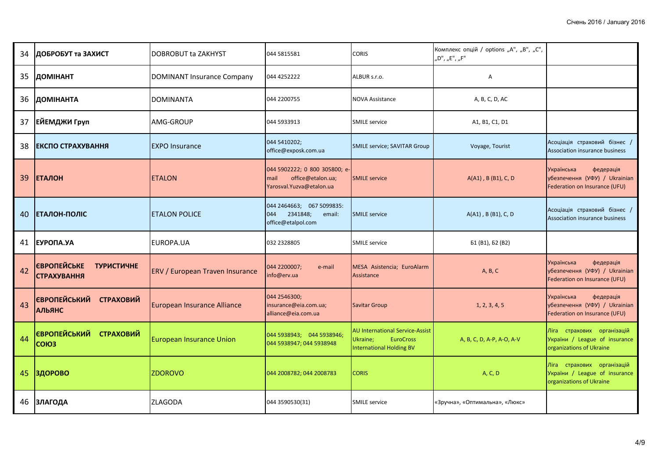| 34 | ДОБРОБУТ та ЗАХИСТ                                            | <b>DOBROBUT ta ZAKHYST</b>             | 044 5815581                                                                             | <b>CORIS</b>                                                                                              | Комплекс опцій / options "А", "В", "С",<br>"D", "E", "F" |                                                                                           |
|----|---------------------------------------------------------------|----------------------------------------|-----------------------------------------------------------------------------------------|-----------------------------------------------------------------------------------------------------------|----------------------------------------------------------|-------------------------------------------------------------------------------------------|
| 35 | <b>ДОМІНАНТ</b>                                               | <b>DOMINANT Insurance Company</b>      | 044 4252222                                                                             | ALBUR s.r.o.                                                                                              | Α                                                        |                                                                                           |
| 36 | ДОМІНАНТА                                                     | <b>DOMINANTA</b>                       | 044 2200755                                                                             | <b>NOVA Assistance</b>                                                                                    | A, B, C, D, AC                                           |                                                                                           |
| 37 | ЕЙЕМДЖИ Груп                                                  | AMG-GROUP                              | 044 5933913                                                                             | <b>SMILE service</b>                                                                                      | A1, B1, C1, D1                                           |                                                                                           |
| 38 | ЕКСПО СТРАХУВАННЯ                                             | <b>EXPO Insurance</b>                  | 044 5410202;<br>office@exposk.com.ua                                                    | <b>SMILE service; SAVITAR Group</b>                                                                       | Voyage, Tourist                                          | Асоціація страховий бізнес /<br>Association insurance business                            |
| 39 | <b>ЕТАЛОН</b>                                                 | <b>ETALON</b>                          | 044 5902222; 0 800 305800; e-<br>office@etalon.ua;<br>mail<br>Yarosval. Yuzva@etalon.ua | <b>SMILE service</b>                                                                                      | A(A1), B (B1), C, D                                      | Українська<br>федерація<br>убезпечення (УФУ) / Ukrainian<br>Federation on Insurance (UFU) |
| 40 | <b>І ЕТАЛОН-ПОЛІС</b>                                         | <b>IETALON POLICE</b>                  | 044 2464663; 067 5099835:<br>2341848;<br>044<br>email:<br>office@etalpol.com            | <b>SMILE service</b>                                                                                      | $A(A1)$ , B (B1), C, D                                   | Асоціація страховий бізнес /<br>Association insurance business                            |
| 41 | <b>EYPONA.YA</b>                                              | EUROPA.UA                              | 032 2328805                                                                             | <b>SMILE service</b>                                                                                      | Б1 (B1), Б2 (B2)                                         |                                                                                           |
| 42 | <b>ЄВРОПЕЙСЬКЕ</b><br><b>ТУРИСТИЧНЕ</b><br><b>СТРАХУВАННЯ</b> | <b>ERV / European Traven Insurance</b> | 044 2200007;<br>e-mail<br>info@erv.ua                                                   | MESA Asistencia; EuroAlarm<br>Assistance                                                                  | A, B, C                                                  | федерація<br>Українська<br>убезпечення (УФУ) / Ukrainian<br>Federation on Insurance (UFU) |
| 43 | <b>ЄВРОПЕЙСЬКИЙ</b><br><b>СТРАХОВИЙ</b><br><b>АЛЬЯНС</b>      | <b>European Insurance Alliance</b>     | 044 2546300;<br>insurance@eia.com.ua;<br>alliance@eia.com.ua                            | <b>Savitar Group</b>                                                                                      | 1, 2, 3, 4, 5                                            | Українська<br>федерація<br>убезпечення (УФУ) / Ukrainian<br>Federation on Insurance (UFU) |
| 44 | <b>ЄВРОПЕЙСЬКИЙ СТРАХОВИЙ</b><br>COIO <sub>3</sub>            | <b>European Insurance Union</b>        | 044 5938943; 044 5938946;<br>044 5938947; 044 5938948                                   | <b>AU International Service-Assist</b><br><b>EuroCross</b><br>Ukraine;<br><b>International Holding BV</b> | A, B, C, D, A-P, A-O, A-V                                | Ліга страхових організацій<br>України / League of insurance<br>organizations of Ukraine   |
| 45 | ЗДОРОВО                                                       | <b>ZDOROVO</b>                         | 044 2008782; 044 2008783                                                                | <b>CORIS</b>                                                                                              | A, C, D                                                  | Ліга страхових організацій<br>України / League of insurance<br>organizations of Ukraine   |
| 46 | <b>ЗЛАГОДА</b>                                                | <b>ZLAGODA</b>                         | 044 3590530(31)                                                                         | <b>SMILE service</b>                                                                                      | «Зручна», «Оптимальна», «Люкс»                           |                                                                                           |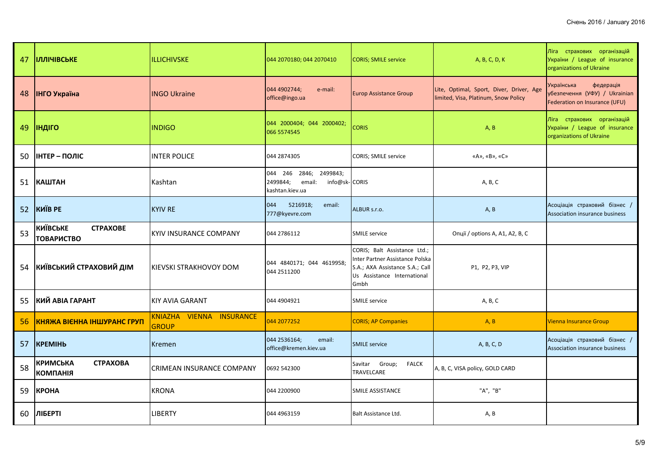| 47 | <b>ПЛЛІЧІВСЬКЕ</b>                                      | <b>ILLICHIVSKE</b>                       | 044 2070180; 044 2070410                                                         | <b>CORIS; SMILE service</b>                                                                                                               | A, B, C, D, K                                                                    | Ліга страхових організацій<br>України / League of insurance<br>organizations of Ukraine   |
|----|---------------------------------------------------------|------------------------------------------|----------------------------------------------------------------------------------|-------------------------------------------------------------------------------------------------------------------------------------------|----------------------------------------------------------------------------------|-------------------------------------------------------------------------------------------|
| 48 | <b>ІНГО Україна</b>                                     | <b>INGO Ukraine</b>                      | 044 4902744;<br>e-mail:<br>office@ingo.ua                                        | <b>Europ Assistance Group</b>                                                                                                             | Lite, Optimal, Sport, Diver, Driver, Age<br>limited, Visa, Platinum, Snow Policy | Українська<br>федерація<br>убезпечення (УФУ) / Ukrainian<br>Federation on Insurance (UFU) |
| 49 | <b>ІНДІГО</b>                                           | <b>INDIGO</b>                            | 044 2000404; 044 2000402;<br>066 5574545                                         | <b>CORIS</b>                                                                                                                              | A, B                                                                             | Ліга страхових організацій<br>України / League of insurance<br>organizations of Ukraine   |
| 50 | <b>ІНТЕР - ПОЛІС</b>                                    | <b>INTER POLICE</b>                      | 044 2874305                                                                      | CORIS; SMILE service                                                                                                                      | «A», «B», «C»                                                                    |                                                                                           |
|    | 51 КАШТАН                                               | Kashtan                                  | 044 246 2846; 2499843;<br>2499844;<br>email:<br>info@sk-CORIS<br>kashtan.kiev.ua |                                                                                                                                           | A, B, C                                                                          |                                                                                           |
| 52 | <b>KWIB PE</b>                                          | <b>KYIV RE</b>                           | 044<br>5216918;<br>email:<br>777@kyevre.com                                      | ALBUR s.r.o.                                                                                                                              | A, B                                                                             | Асоціація страховий бізнес /<br>Association insurance business                            |
| 53 | <b>КИЇВСЬКЕ</b><br><b>CTPAXOBE</b><br><b>ТОВАРИСТВО</b> | KYIV INSURANCE COMPANY                   | 044 2786112                                                                      | <b>SMILE service</b>                                                                                                                      | Опції / options A, A1, A2, B, C                                                  |                                                                                           |
| 54 | КИЇВСЬКИЙ СТРАХОВИЙ ДІМ                                 | IKIEVSKI STRAKHOVOY DOM                  | 044 4840171; 044 4619958;<br>044 2511200                                         | CORIS; Balt Assistance Ltd.;<br>Inter Partner Assistance Polska<br>S.A.; AXA Assistance S.A.; Call<br>Us Assistance International<br>Gmbh | P1, P2, P3, VIP                                                                  |                                                                                           |
| 55 | <b>КИЙ АВІА ГАРАНТ</b>                                  | <b>KIY AVIA GARANT</b>                   | 044 4904921                                                                      | <b>SMILE service</b>                                                                                                                      | A, B, C                                                                          |                                                                                           |
| 56 | <b>КНЯЖА ВІЄННА ІНШУРАНС ГРУП</b>                       | KNIAZHA VIENNA INSURANCE<br><b>GROUP</b> | 044 2077252                                                                      | <b>CORIS; AP Companies</b>                                                                                                                | A, B                                                                             | <b>Vienna Insurance Group</b>                                                             |
| 57 | <b>KPEMIH<sub>b</sub></b>                               | Kremen                                   | 044 2536164;<br>email:<br>office@kremen.kiev.ua                                  | <b>SMILE service</b>                                                                                                                      | A, B, C, D                                                                       | Асоціація страховий бізнес /<br>Association insurance business                            |
| 58 | <b>КРИМСЬКА</b><br><b>CTPAXOBA</b><br><b>КОМПАНІЯ</b>   | CRIMEAN INSURANCE COMPANY                | 0692 542300                                                                      | Savitar Group;<br><b>FALCK</b><br><b>TRAVELCARE</b>                                                                                       | A, B, C, VISA policy, GOLD CARD                                                  |                                                                                           |
| 59 | KPOHA                                                   | <b>KRONA</b>                             | 044 2200900                                                                      | SMILE ASSISTANCE                                                                                                                          | "A", "B"                                                                         |                                                                                           |
| 60 | ЛІБЕРТІ                                                 | <b>LIBERTY</b>                           | 044 4963159                                                                      | Balt Assistance Ltd.                                                                                                                      | A, B                                                                             |                                                                                           |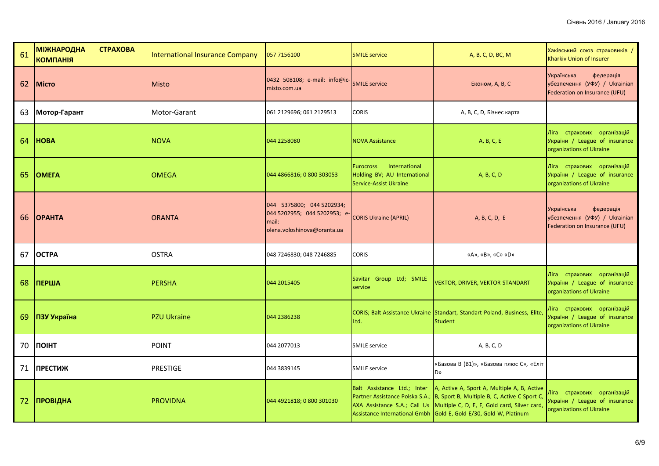| 61 | <b>МІЖНАРОДНА</b><br><b>CTPAXOBA</b><br><b>КОМПАНІЯ</b> | International Insurance Company | 057 7156100                                                                                       | <b>SMILE service</b>                                                                        | A, B, C, D, BC, M                                                                                                                                                                                                                                                             | Хаківський союз страховиків /<br>Kharkiv Union of Insurer                                 |
|----|---------------------------------------------------------|---------------------------------|---------------------------------------------------------------------------------------------------|---------------------------------------------------------------------------------------------|-------------------------------------------------------------------------------------------------------------------------------------------------------------------------------------------------------------------------------------------------------------------------------|-------------------------------------------------------------------------------------------|
| 62 | <b>Micro</b>                                            | <b>Misto</b>                    | 0432 508108; e-mail: info@ic-<br>misto.com.ua                                                     | <b>SMILE service</b>                                                                        | Економ, А, В, С                                                                                                                                                                                                                                                               | Українська<br>федерація<br>убезпечення (УФУ) / Ukrainian<br>Federation on Insurance (UFU) |
| 63 | Мотор-Гарант                                            | Motor-Garant                    | 061 2129696; 061 2129513                                                                          | <b>CORIS</b>                                                                                | А, В, С, D, Бізнес карта                                                                                                                                                                                                                                                      |                                                                                           |
| 64 | <b>HOBA</b>                                             | <b>NOVA</b>                     | 044 2258080                                                                                       | <b>NOVA Assistance</b>                                                                      | A, B, C, E                                                                                                                                                                                                                                                                    | Ліга страхових організацій<br>України / League of insurance<br>organizations of Ukraine   |
| 65 | <b>OMEFA</b>                                            | <b>OMEGA</b>                    | 044 4866816; 0 800 303053                                                                         | International<br><b>Eurocross</b><br>Holding BV; AU International<br>Service-Assist Ukraine | A, B, C, D                                                                                                                                                                                                                                                                    | Ліга страхових організацій<br>України / League of insurance<br>organizations of Ukraine   |
| 66 | <b>OPAHTA</b>                                           | <b>ORANTA</b>                   | 044 5375800; 044 5202934;<br>044 5202955; 044 5202953; e-<br>mail:<br>olena.voloshinova@oranta.ua | <b>CORIS Ukraine (APRIL)</b>                                                                | A, B, C, D, E                                                                                                                                                                                                                                                                 | Українська<br>федерація<br>убезпечення (УФУ) / Ukrainian<br>Federation on Insurance (UFU) |
| 67 | <b>OCTPA</b>                                            | <b>OSTRA</b>                    | 048 7246830; 048 7246885                                                                          | <b>CORIS</b>                                                                                | «A», «B», «C» «D»                                                                                                                                                                                                                                                             |                                                                                           |
| 68 | <b>ПЕРША</b>                                            | PERSHA                          | 044 2015405                                                                                       | Savitar Group Ltd; SMILE<br>service                                                         | <b>VEKTOR, DRIVER, VEKTOR-STANDART</b>                                                                                                                                                                                                                                        | Ліга страхових організацій<br>України / League of insurance<br>organizations of Ukraine   |
| 69 | ПЗУ Україна                                             | <b>PZU Ukraine</b>              | 044 2386238                                                                                       | Ltd.                                                                                        | CORIS; Balt Assistance Ukraine Standart, Standart-Poland, Business, Elite,<br><b>Student</b>                                                                                                                                                                                  | Ліга страхових організацій<br>України / League of insurance<br>organizations of Ukraine   |
| 70 | <b><i><u>NOIHT</u></i></b>                              | POINT                           | 044 2077013                                                                                       | <b>SMILE service</b>                                                                        | A, B, C, D                                                                                                                                                                                                                                                                    |                                                                                           |
| 71 | <b>ПРЕСТИЖ</b>                                          | PRESTIGE                        | 044 3839145                                                                                       | <b>SMILE service</b>                                                                        | «Базова В (В1)», «Базова плюс С», «Еліт<br>D»                                                                                                                                                                                                                                 |                                                                                           |
| 72 | ПРОВІДНА                                                | PROVIDNA                        | 044 4921818; 0 800 301030                                                                         | Balt Assistance Ltd.; Inter                                                                 | A, Active A, Sport A, Multiple A, B, Active<br>Partner Assistance Polska S.A.; B, Sport B, Multiple B, C, Active C Sport C,<br>AXA Assistance S.A.; Call Us Multiple C, D, E, F, Gold card, Silver card,<br>Assistance International Gmbh Gold-E, Gold-E/30, Gold-W, Platinum | Ліга страхових організацій<br>України / League of insurance<br>organizations of Ukraine   |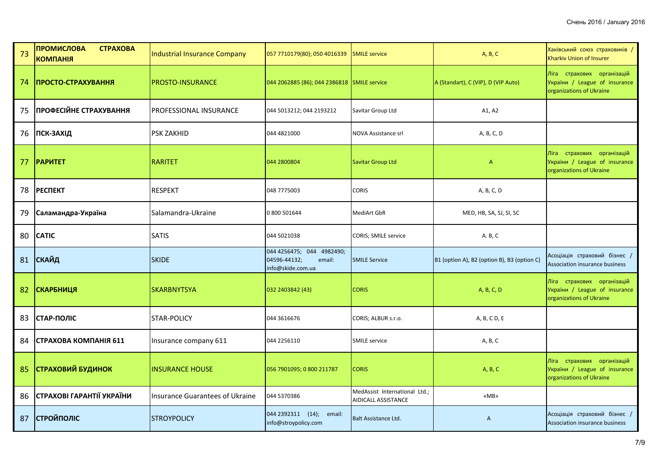| 73 | <b>ПРОМИСЛОВА</b><br><b>CTPAXOBA</b><br><b>КОМПАНІЯ</b> | Industrial Insurance Company    | 057 7710179(80); 050 4016339                                             | <b>SMILE service</b>                                 | A, B, C                                     | Хаківський союз страховиків /<br>Kharkiv Union of Insurer                               |
|----|---------------------------------------------------------|---------------------------------|--------------------------------------------------------------------------|------------------------------------------------------|---------------------------------------------|-----------------------------------------------------------------------------------------|
| 74 | ПРОСТО-СТРАХУВАННЯ                                      | <b>PROSTO-INSURANCE</b>         | 044 2062885 (86); 044 2386818 SMILE service                              |                                                      | A (Standart), C (VIP), D (VIP Auto)         | Ліга страхових організацій<br>України / League of insurance<br>organizations of Ukraine |
| 75 | ПРОФЕСІЙНЕ СТРАХУВАННЯ                                  | <b>PROFESSIONAL INSURANCE</b>   | 044 5013212; 044 2193212                                                 | Savitar Group Ltd                                    | A1, A2                                      |                                                                                         |
|    | 76 ПСК-ЗАХІД                                            | <b>PSK ZAKHID</b>               | 044 4821000                                                              | NOVA Assistance srl                                  | A, B, C, D                                  |                                                                                         |
| 77 | <b>PAPUTET</b>                                          | <b>RARITET</b>                  | 044 2800804                                                              | <b>Savitar Group Ltd</b>                             | $\mathsf{A}$                                | Ліга страхових організацій<br>України / League of insurance<br>organizations of Ukraine |
| 78 | <b>PECTIEKT</b>                                         | <b>RESPEKT</b>                  | 048 7775003                                                              | <b>CORIS</b>                                         | A, B, C, D                                  |                                                                                         |
| 79 | Саламандра-Україна                                      | Salamandra-Ukraine              | 0 800 501644                                                             | <b>MediArt GbR</b>                                   | MED, HB, SA, SJ, SI, SC                     |                                                                                         |
| 80 | <b>CATIC</b>                                            | <b>SATIS</b>                    | 044 5021038                                                              | CORIS; SMILE service                                 | A. B, C                                     |                                                                                         |
|    | 81 СКАЙД                                                | <b>SKIDE</b>                    | 044 4256475; 044 4982490;<br>04596-44132;<br>email:<br>info@skide.com.ua | <b>SMILE Service</b>                                 | B1 (option A), B2 (option B), B3 (option C) | Асоціація страховий бізнес /<br>Association insurance business                          |
| 82 | <b>СКАРБНИЦЯ</b>                                        | <b>SKARBNYTSYA</b>              | 032 2403842 (43)                                                         | <b>CORIS</b>                                         | A, B, C, D                                  | Ліга страхових організацій<br>України / League of insurance<br>organizations of Ukraine |
| 83 | СТАР-ПОЛІС                                              | STAR-POLICY                     | 044 3616676                                                              | CORIS; ALBUR s.r.o.                                  | A, B, C D, E                                |                                                                                         |
| 84 | СТРАХОВА КОМПАНІЯ 611                                   | Insurance company 611           | 044 2256110                                                              | <b>SMILE service</b>                                 | A, B, C                                     |                                                                                         |
| 85 | <b>СТРАХОВИЙ БУДИНОК</b>                                | <b>INSURANCE HOUSE</b>          | 056 7901095; 0 800 211787                                                | <b>CORIS</b>                                         | A, B, C                                     | Ліга страхових організацій<br>України / League of insurance<br>organizations of Ukraine |
| 86 | СТРАХОВІ ГАРАНТІЇ УКРАЇНИ                               | Insurance Guarantees of Ukraine | 044 5370386                                                              | MedAssist International Ltd.;<br>AIDICALL ASSISTANCE | «MB»                                        |                                                                                         |
| 87 | <b>СТРОЙПОЛІС</b>                                       | <b>STROYPOLICY</b>              | 044 2392311 (14); email:<br>info@stroypolicy.com                         | Balt Assistance Ltd.                                 | $\overline{A}$                              | Асоціація страховий бізнес /<br>Association insurance business                          |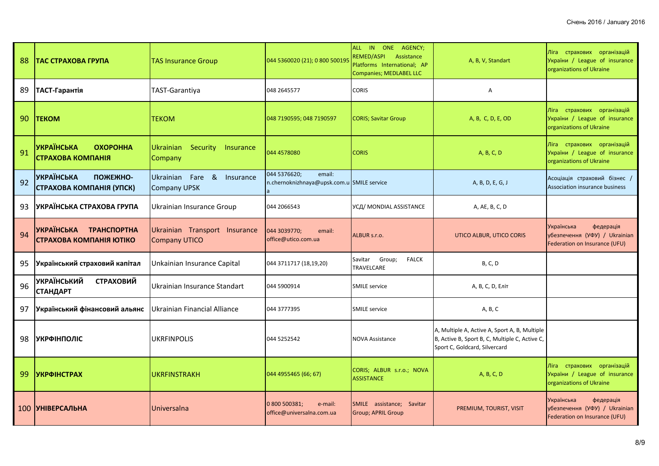| 88 | ТАС СТРАХОВА ГРУПА                                        | <b>TAS Insurance Group</b>                               | 044 5360020 (21); 0 800 500195                                       | ALL IN ONE AGENCY;<br>REMED/ASPI<br>Assistance<br>Platforms International; AP<br>Companies; MEDLABEL LLC | A, B, V, Standart                                                                                                                | Ліга страхових організацій<br>України / League of insurance<br>organizations of Ukraine   |
|----|-----------------------------------------------------------|----------------------------------------------------------|----------------------------------------------------------------------|----------------------------------------------------------------------------------------------------------|----------------------------------------------------------------------------------------------------------------------------------|-------------------------------------------------------------------------------------------|
| 89 | ТАСТ-Гарантія                                             | <b>TAST-Garantiya</b>                                    | 048 2645577                                                          | <b>CORIS</b>                                                                                             | A                                                                                                                                |                                                                                           |
| 90 | <b>TEKOM</b>                                              | TEKOM                                                    | 048 7190595; 048 7190597                                             | <b>CORIS; Savitar Group</b>                                                                              | A, B, C, D, E, OD                                                                                                                | Ліга страхових організацій<br>України / League of insurance<br>organizations of Ukraine   |
| 91 | <b>УКРАЇНСЬКА</b><br><b>OXOPOHHA</b><br>СТРАХОВА КОМПАНІЯ | <b>Ukrainian</b><br>Security<br>Insurance<br>Company     | 044 4578080                                                          | <b>CORIS</b>                                                                                             | A, B, C, D                                                                                                                       | Ліга страхових організацій<br>України / League of insurance<br>organizations of Ukraine   |
| 92 | <b>УКРАЇНСЬКА</b><br>ПОЖЕЖНО-<br>СТРАХОВА КОМПАНІЯ (УПСК) | Ukrainian Fare<br>୍ଷ<br>Insurance<br><b>Company UPSK</b> | 044 5376620;<br>email:<br>n.chernoknizhnaya@upsk.com.u SMILE service |                                                                                                          | A, B, D, E, G, J                                                                                                                 | Асоціація страховий бізнес /<br>Association insurance business                            |
| 93 | УКРАЇНСЬКА СТРАХОВА ГРУПА                                 | Ukrainian Insurance Group                                | 044 2066543                                                          | УСД/ MONDIAL ASSISTANCE                                                                                  | A, AE, B, C, D                                                                                                                   |                                                                                           |
| 94 | УКРАЇНСЬКА ТРАНСПОРТНА<br>СТРАХОВА КОМПАНІЯ ЮТІКО         | Ukrainian Transport Insurance<br><b>Company UTICO</b>    | 044 3039770;<br>email:<br>office@utico.com.ua                        | ALBUR s.r.o.                                                                                             | UTICO ALBUR, UTICO CORIS                                                                                                         | федерація<br>Українська<br>убезпечення (УФУ) / Ukrainian<br>Federation on Insurance (UFU) |
| 95 | Український страховий капітал                             | Unkainian Insurance Capital                              | 044 3711717 (18,19,20)                                               | Group;<br><b>FALCK</b><br>Savitar<br>TRAVELCARE                                                          | <b>B, C, D</b>                                                                                                                   |                                                                                           |
| 96 | <b>УКРАЇНСЬКИЙ</b><br><b>СТРАХОВИЙ</b><br><b>СТАНДАРТ</b> | Ukrainian Insurance Standart                             | 044 5900914                                                          | <b>SMILE service</b>                                                                                     | А, В, С, D, Еліт                                                                                                                 |                                                                                           |
| 97 | Український фінансовий альянс                             | Ukrainian Financial Alliance                             | 044 3777395                                                          | <b>SMILE service</b>                                                                                     | A, B, C                                                                                                                          |                                                                                           |
| 98 | <b>УКРФІНПОЛІС</b>                                        | <b>UKRFINPOLIS</b>                                       | 044 5252542                                                          | <b>NOVA Assistance</b>                                                                                   | A, Multiple A, Active A, Sport A, B, Multiple<br>B, Active B, Sport B, C, Multiple C, Active C,<br>Sport C, Goldcard, Silvercard |                                                                                           |
| 99 | <b>УКРФІНСТРАХ</b>                                        | UKRFINSTRAKH                                             | 044 4955465 (66; 67)                                                 | CORIS; ALBUR s.r.o.; NOVA<br><b>ASSISTANCE</b>                                                           | A, B, C, D                                                                                                                       | Ліга страхових організацій<br>України / League of insurance<br>organizations of Ukraine   |
|    | 100 УНІВЕРСАЛЬНА                                          | Universalna                                              | 0 800 500381;<br>e-mail:<br>office@universalna.com.ua                | SMILE assistance; Savitar<br><b>Group; APRIL Group</b>                                                   | PREMIUM, TOURIST, VISIT                                                                                                          | Українська<br>федерація<br>убезпечення (УФУ) / Ukrainian<br>Federation on Insurance (UFU) |